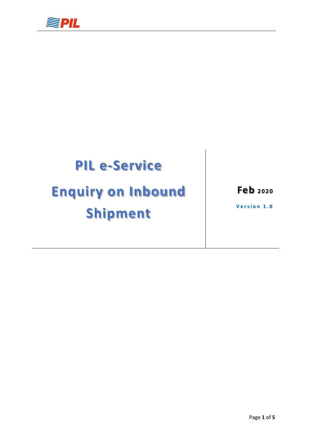

## **PIL e-Service**

# **Enquiry on Inbound Shipment**

**Feb <sup>2020</sup>**

**Version 1.0**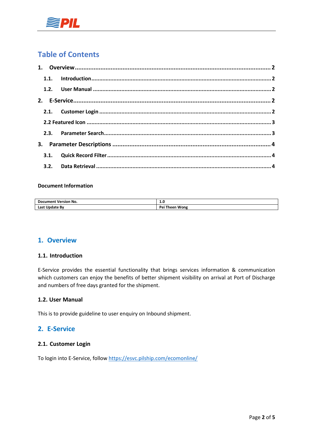

## **Table of Contents**

#### **Document Information**

| <b>Document Version No.</b> | 1.U                   |  |  |  |  |
|-----------------------------|-----------------------|--|--|--|--|
| Last<br>Update Bv           | Pei<br>Wong<br>Theen. |  |  |  |  |

## <span id="page-1-0"></span>**1. Overview**

#### <span id="page-1-1"></span>**1.1. Introduction**

E-Service provides the essential functionality that brings services information & communication which customers can enjoy the benefits of better shipment visibility on arrival at Port of Discharge and numbers of free days granted for the shipment.

### <span id="page-1-2"></span>**1.2. User Manual**

This is to provide guideline to user enquiry on Inbound shipment.

## <span id="page-1-3"></span>**2. E-Service**

#### <span id="page-1-4"></span>**2.1. Customer Login**

To login into E-Service, follow <https://esvc.pilship.com/ecomonline/>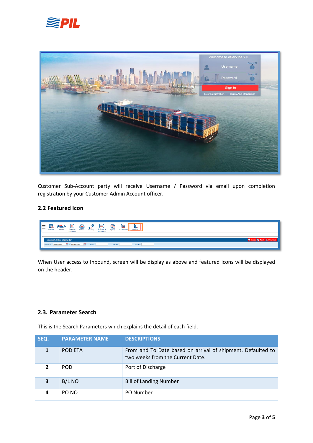



Customer Sub-Account party will receive Username / Password via email upon completion registration by your Customer Admin Account officer.

## <span id="page-2-0"></span>**2.2 Featured Icon**

| - -<br>IΞ<br>l⊫<br>Ε<br>---<br>1000<br>⋍<br>ĦШ<br>₩<br>Tracking<br>SOLAS-VGM<br><b>BL Terms &amp;</b><br>Shipping<br>Booking<br>Inbound<br>Schedule<br><b>BI Print</b><br>Agency<br>Instruction<br>Conditions |  |  |  |
|---------------------------------------------------------------------------------------------------------------------------------------------------------------------------------------------------------------|--|--|--|
|                                                                                                                                                                                                               |  |  |  |
| I<br><b>Shipment Arrival Information</b><br>ı                                                                                                                                                                 |  |  |  |
| POD ETA: 11-Feb-2020<br>$\frac{100}{100}$ ~ 25-Feb-2020<br>B/L No:<br>PO NO:<br>POD:<br><b>PAGE</b>                                                                                                           |  |  |  |

When User access to Inbound, screen will be display as above and featured icons will be displayed on the header.

### <span id="page-2-1"></span>**2.3. Parameter Search**

This is the Search Parameters which explains the detail of each field.

| SEQ. | <b>PARAMETER NAME</b> | <b>DESCRIPTIONS</b>                                                                             |
|------|-----------------------|-------------------------------------------------------------------------------------------------|
|      | <b>POD ETA</b>        | From and To Date based on arrival of shipment. Defaulted to<br>two weeks from the Current Date. |
|      | POD.                  | Port of Discharge                                                                               |
| 3    | B/L NO                | <b>Bill of Landing Number</b>                                                                   |
|      | PO NO                 | PO Number                                                                                       |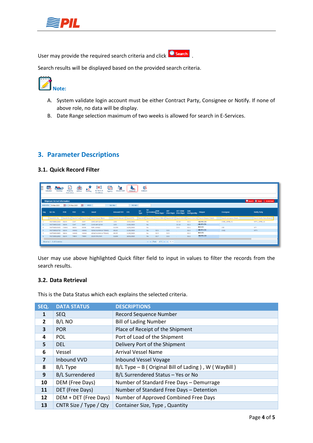

User may provide the required search criteria and click **C** search



Search results will be displayed based on the provided search criteria.



 $\overline{a}$ 

- A. System validate login account must be either Contract Party, Consignee or Notify. If none of above role, no data will be display.
- B. Date Range selection maximum of two weeks is allowed for search in E-Services.

## <span id="page-3-0"></span>**3. Parameter Descriptions**

### <span id="page-3-1"></span>**3.1. Quick Record Filter**

|                 | €<br>囎<br>C<br>$\frac{1}{\sqrt{\frac{1}{2}}\sqrt{\frac{1}{2}}}}$<br>耳<br>¥.<br>r.<br>E,<br>Œ<br><b>BL</b> Terms &<br><b>Schedule</b><br>Shipping<br>DetDem<br>Booking<br>SOLAS-VGM<br>Inbound<br><b>BI Print</b><br>Agency<br>Instruction<br>Conditions |                                     |               |              |                                                         |                             |            |             |                                  |                               |                  |                                    |                      |                                                                                                      |                          |                                         |
|-----------------|---------------------------------------------------------------------------------------------------------------------------------------------------------------------------------------------------------------------------------------------------------|-------------------------------------|---------------|--------------|---------------------------------------------------------|-----------------------------|------------|-------------|----------------------------------|-------------------------------|------------------|------------------------------------|----------------------|------------------------------------------------------------------------------------------------------|--------------------------|-----------------------------------------|
|                 | <b>Shipment Arrival Information</b>                                                                                                                                                                                                                     |                                     |               |              |                                                         |                             |            |             |                                  |                               |                  |                                    |                      |                                                                                                      |                          | Search <b>@</b> Reset <b>1</b> Download |
| POD ETA:        | 11-Feb-2020                                                                                                                                                                                                                                             | $\frac{100}{200} \sim 25.$ Feb-2020 |               | POD:<br>m    |                                                         | B/L No:                     | PO NO:     |             |                                  |                               |                  |                                    |                      |                                                                                                      |                          |                                         |
| I<br><b>Seq</b> | <b>B/L No</b>                                                                                                                                                                                                                                           | <b>POR</b>                          | POD           | <b>DEL</b>   | <b>Vessel</b>                                           | Inbound VVD                 | <b>ETA</b> | B/L<br>Type | <b>B/L</b><br><b>Surrendered</b> | <b>DEM</b><br>(Free Days)     | <b>DET</b>       | DET+DEM<br>(Free Days) (Free Days) | Cntr<br>SizeType/Qty | <b>Shipper</b>                                                                                       | Consignee                | <b>Notify Party</b>                     |
|                 | Search B/L No                                                                                                                                                                                                                                           |                                     |               |              | Search Orig Search Final Search Orig Search Vessel Name | Search Inbound V Search ETA |            |             |                                  |                               |                  |                                    |                      | Search B/ Search B/L Search DEM di Search DET L Search DEt+DL Search Cntr Oty Search Shipper Details | Search consignee Details | Search Notify Party Details             |
|                 | MGT000012400                                                                                                                                                                                                                                            | <b>SGSIN</b>                        | <b>IDJKT</b>  | <b>IDJKT</b> | <b>QHCX AW QGYW</b>                                     | 1225                        | 15/02/2020 |             | No                               |                               |                  | D2:10                              | D2:1                 | <b>ABC PTE LTD</b>                                                                                   | CNEE_13FEB_V1            | NPTY_13FEB_V1                           |
|                 | MGT000012500                                                                                                                                                                                                                                            | SGSIN                               | <b>IDJKT</b>  | <b>IDJKT</b> | QHCX AW QGYW                                            | 1225                        | 15/02/2020 |             | No.                              |                               |                  | D <sub>2:10</sub>                  | D <sub>2:2</sub>     | <b>ABC PTE LTD</b>                                                                                   |                          |                                         |
|                 | MGT000010300                                                                                                                                                                                                                                            | CNSHA                               | <b>SGSIN</b>  | <b>SGSIN</b> | <b>PUPL WHGLS</b>                                       | 0123W                       | 14/02/2020 |             | No                               |                               |                  | D2:8                               | D2:1                 | <b>BCD LTD</b>                                                                                       | CEE                      | <b>NTY</b>                              |
|                 | MGT000010700                                                                                                                                                                                                                                            | SGSIN                               | <b>HKHKG</b>  | <b>HKHKG</b> | AZKAZ KLKXXKLW TZUWQ                                    | 0013E                       | 11/02/2020 |             | No.                              | D <sub>2</sub> -5             | D2:5             | <b>STATE</b>                       | D2:2                 | <b>ABC PTE LTD</b>                                                                                   | CNEE                     | <b>NPTY</b>                             |
|                 | MGT000010800                                                                                                                                                                                                                                            | SGSIN                               | <b>HIKHKG</b> | <b>HKHKG</b> | AZKAZ KLKXXKLW TZUWQ                                    | 0013E                       | 11/02/2020 |             | No.                              | D <sub>2</sub> -5             | D <sub>2:5</sub> | $\sim$                             | D <sub>2:2</sub>     | <b>BCD LTD</b>                                                                                       |                          |                                         |
|                 | MGT000011900                                                                                                                                                                                                                                            | SGSIN                               | <b>THBKK</b>  | THBKK        | SOUM RMLFMR                                             | 0159N                       | 18/02/2020 |             | No                               | D2:7                          | D2:3             |                                    | D2:2                 | <b>ABC PTE LTD</b>                                                                                   |                          |                                         |
|                 | Showing 1 - 6 of 6 entries                                                                                                                                                                                                                              |                                     |               |              |                                                         |                             |            |             |                                  | se los Page 1 of 1 so se 15 * |                  |                                    |                      |                                                                                                      |                          |                                         |

User may use above highlighted Quick filter field to input in values to filter the records from the search results.

## <span id="page-3-2"></span>**3.2. Data Retrieval**

This is the Data Status which each explains the selected criteria.

| SEQ.           | <b>DATA STATUS</b>     | <b>DESCRIPTIONS</b>                                 |
|----------------|------------------------|-----------------------------------------------------|
| 1              | <b>SEQ</b>             | <b>Record Sequence Number</b>                       |
| $\mathbf{2}$   | B/L NO                 | <b>Bill of Lading Number</b>                        |
| 3              | <b>POR</b>             | Place of Receipt of the Shipment                    |
| 4              | <b>POL</b>             | Port of Load of the Shipment                        |
| 5              | <b>DEL</b>             | Delivery Port of the Shipment                       |
| 6              | Vessel                 | <b>Arrival Vessel Name</b>                          |
| $\overline{7}$ | Inbound VVD            | <b>Inbound Vessel Voyage</b>                        |
| 8              | B/L Type               | B/L Type - B (Original Bill of Lading), W (WayBill) |
| 9              | <b>B/L Surrendered</b> | B/L Surrendered Status - Yes or No                  |
| 10             | DEM (Free Days)        | Number of Standard Free Days - Demurrage            |
| 11             | DET (Free Days)        | Number of Standard Free Days - Detention            |
| 12             | DEM + DET (Free Days)  | Number of Approved Combined Free Days               |
| 13             | CNTR Size / Type / Qty | Container Size, Type, Quantity                      |